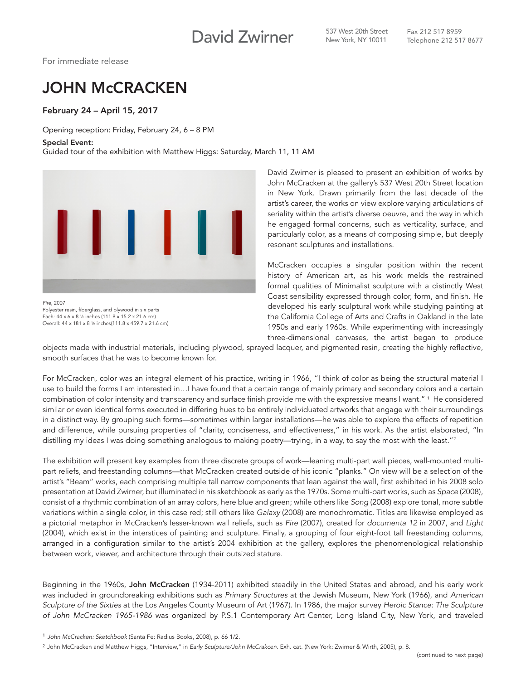David Zwirner

537 West 20th Street New York, NY 10011

Fax 212 517 8959 Telephone 212 517 8677

For immediate release

## JOHN McCRACKEN

## February 24 – April 15, 2017

Opening reception: Friday, February 24, 6 – 8 PM

## Special Event:

Guided tour of the exhibition with Matthew Higgs: Saturday, March 11, 11 AM



*Fire*, 2007 Polyester resin, fiberglass, and plywood in six parts Each: 44 x 6 x 8 ½ inches (111.8 x 15.2 x 21.6 cm) Overall: 44 x 181 x 8 ½ inches(111.8 x 459.7 x 21.6 cm) David Zwirner is pleased to present an exhibition of works by John McCracken at the gallery's 537 West 20th Street location in New York. Drawn primarily from the last decade of the artist's career, the works on view explore varying articulations of seriality within the artist's diverse oeuvre, and the way in which he engaged formal concerns, such as verticality, surface, and particularly color, as a means of composing simple, but deeply resonant sculptures and installations.

McCracken occupies a singular position within the recent history of American art, as his work melds the restrained formal qualities of Minimalist sculpture with a distinctly West Coast sensibility expressed through color, form, and finish. He developed his early sculptural work while studying painting at the California College of Arts and Crafts in Oakland in the late 1950s and early 1960s. While experimenting with increasingly three-dimensional canvases, the artist began to produce

objects made with industrial materials, including plywood, sprayed lacquer, and pigmented resin, creating the highly reflective, smooth surfaces that he was to become known for.

For McCracken, color was an integral element of his practice, writing in 1966, "I think of color as being the structural material I use to build the forms I am interested in…I have found that a certain range of mainly primary and secondary colors and a certain combination of color intensity and transparency and surface finish provide me with the expressive means I want." <sup>1</sup> He considered similar or even identical forms executed in differing hues to be entirely individuated artworks that engage with their surroundings in a distinct way. By grouping such forms—sometimes within larger installations—he was able to explore the effects of repetition and difference, while pursuing properties of "clarity, conciseness, and effectiveness," in his work. As the artist elaborated, "In distilling my ideas I was doing something analogous to making poetry—trying, in a way, to say the most with the least."<sup>2</sup>

The exhibition will present key examples from three discrete groups of work—leaning multi-part wall pieces, wall-mounted multipart reliefs, and freestanding columns—that McCracken created outside of his iconic "planks." On view will be a selection of the artist's "Beam" works, each comprising multiple tall narrow components that lean against the wall, first exhibited in his 2008 solo presentation at David Zwirner, but illuminated in his sketchbook as early as the 1970s. Some multi-part works, such as *Space* (2008), consist of a rhythmic combination of an array colors, here blue and green; while others like *Song* (2008) explore tonal, more subtle variations within a single color, in this case red; still others like *Galaxy* (2008) are monochromatic. Titles are likewise employed as a pictorial metaphor in McCracken's lesser-known wall reliefs, such as *Fire* (2007), created for *documenta 12* in 2007, and *Light* (2004), which exist in the interstices of painting and sculpture. Finally, a grouping of four eight-foot tall freestanding columns, arranged in a configuration similar to the artist's 2004 exhibition at the gallery, explores the phenomenological relationship between work, viewer, and architecture through their outsized stature.

Beginning in the 1960s, John McCracken (1934-2011) exhibited steadily in the United States and abroad, and his early work was included in groundbreaking exhibitions such as *Primary Structures* at the Jewish Museum, New York (1966), and *American Sculpture of the Sixties* at the Los Angeles County Museum of Art (1967). In 1986, the major survey *Heroic Stance: The Sculpture of John McCracken 1965-1986* was organized by P.S.1 Contemporary Art Center, Long Island City, New York, and traveled

<sup>1</sup> John McCracken: Sketchbook (Santa Fe: Radius Books, 2008), p. 66 1/2.

<sup>2</sup> John McCracken and Matthew Higgs, "Interview," in *Early Sculpture/John McCrakcen*. Exh. cat. (New York: Zwirner & Wirth, 2005), p. 8.